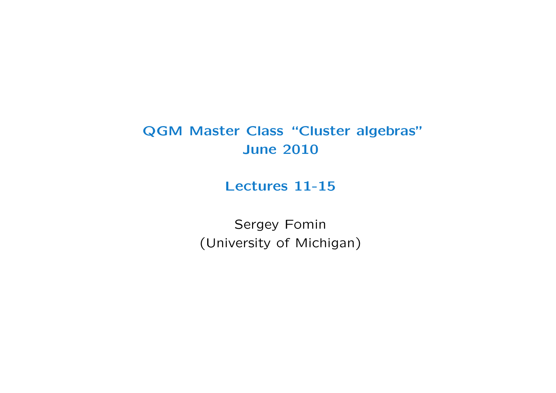# QGM Master Class "Cluster algebras" June 2010

## Lectures 11-15

Sergey Fomin (University of Michigan)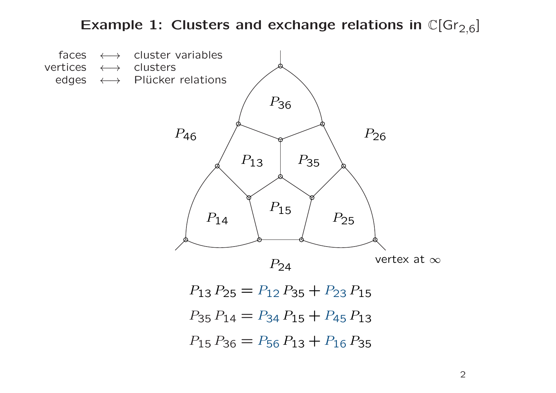# Example 1: Clusters and exchange relations in  $\mathbb{C}[\mathrm{Gr}_{2,6}]$

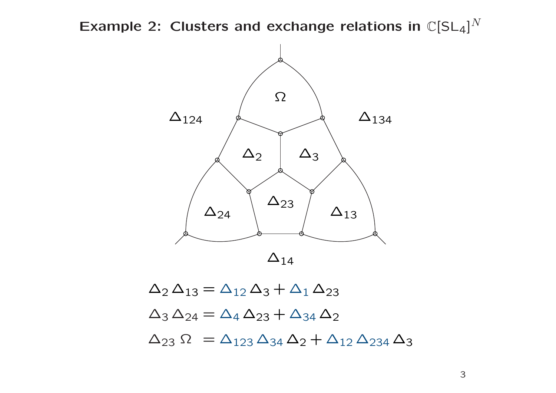Example 2: Clusters and exchange relations in  $\mathbb{C}[\mathsf{SL}_4]^N$ 



 $\Delta_2 \Delta_{13} = \Delta_{12} \Delta_3 + \Delta_1 \Delta_{23}$  $\Delta_3 \Delta_{24} = \Delta_4 \Delta_{23} + \Delta_{34} \Delta_2$  $\Delta_{23} \Omega = \Delta_{123} \Delta_{34} \Delta_2 + \Delta_{12} \Delta_{234} \Delta_3$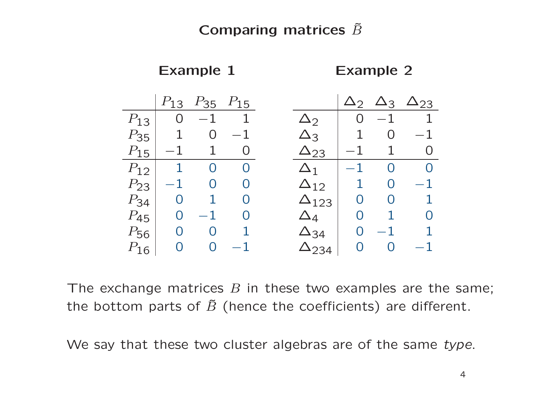## Comparing matrices  $\tilde{B}$

Example 1 Example 2

|           |      |                |                   |                 | $\Delta_2$ |          | $\Delta_3$ $\Delta_{23}$ |
|-----------|------|----------------|-------------------|-----------------|------------|----------|--------------------------|
| $\Omega$  | $-1$ | 1              |                   | $\Delta$ 2      | $\Omega$   | $-1$     | 1                        |
|           | O    | 1              |                   | $\Delta_3$      | 1          | O        | $\mathbf 1$              |
| $-1$      |      | O              |                   | $\Delta_{23}$   | $-1$       |          | $\bigcap$                |
| 1         | O    | $\overline{0}$ |                   | $\Delta_1$      | $-1\,$     | ∩        |                          |
| $-1\,$    | O    | O              |                   | $\Delta_{12}$   | 1          | O        |                          |
| $\rm{O}$  |      | $\Omega$       |                   | $\Delta_{123}$  | $\Omega$   | $\Omega$ |                          |
|           |      |                |                   | $4\overline{4}$ | $\Omega$   |          |                          |
| $\bigcap$ | O    |                |                   | $\Delta_{34}$   | $\Omega$   |          |                          |
|           | ∩    |                |                   | 234             | $\Omega$   | ∩        |                          |
|           |      | $P_{13}$       | $P_{35}$ $P_{15}$ |                 |            |          |                          |

The exchange matrices  $B$  in these two examples are the same; the bottom parts of  $\tilde{B}$  (hence the coefficients) are different.

We say that these two cluster algebras are of the same type.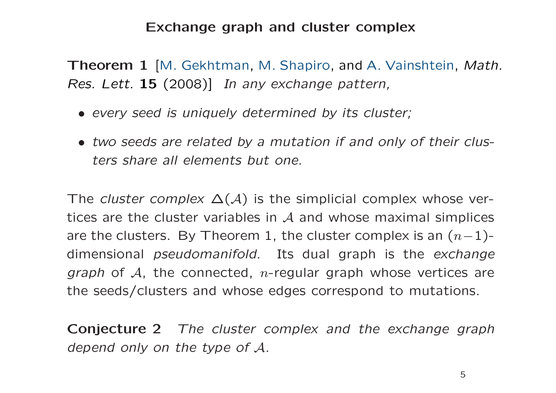#### Exchange graph and cluster complex

Theorem 1 [M. Gekhtman, M. Shapiro, and A. Vainshtein, Math. Res. Lett. 15 (2008)] In any exchange pattern,

- every seed is uniquely determined by its cluster;
- two seeds are related by <sup>a</sup> mutation if and only of their clusters share all elements but one.

The *cluster complex*  $\Delta(\mathcal{A})$  is the simplicial complex whose vertices are the cluster variables in  $\mathcal A$  and whose maximal simplices are the clusters. By Theorem 1, the cluster complex is an  $(n\!-\!1)\!$ dimensional pseudomanifold. Its dual graph is the exchange *graph* of  ${\cal A}$ , the connected,  $n$ -regular graph whose vertices are the seeds/clusters and whose edges correspond to mutations.

**Conjecture 2** The cluster complex and the exchange graph depend only on the type of A.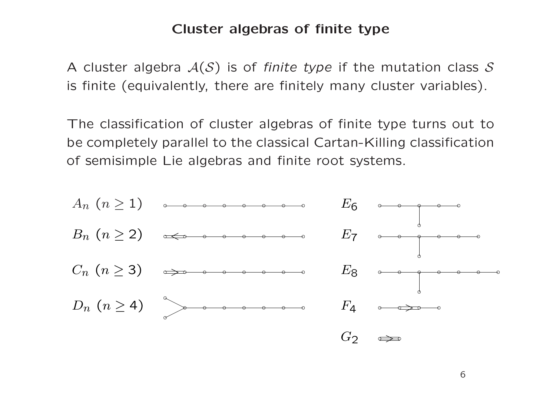#### Cluster algebras of finite type

A cluster algebra  $\mathcal{A}(\mathcal{S})$  is of finite type if the mutation class  $\mathcal S$ is finite (equivalently, there are finitely many cluster variables).

The classification of cluster algebras of finite type turns out to be completely parallel to the classical Cartan-Killing classification of semisimple Lie algebras and finite root systems.

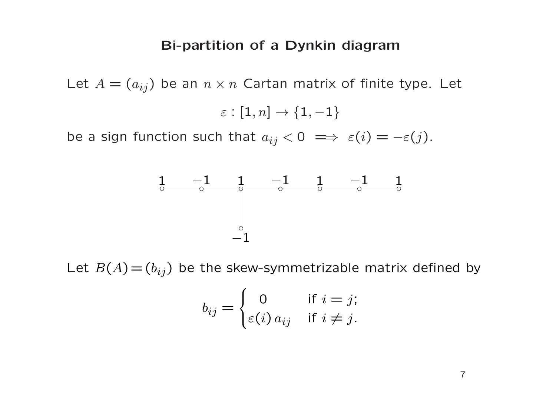#### Bi-partition of <sup>a</sup> Dynkin diagram

Let  $A=(a_{ij})$  be an  $n\times n$  Cartan matrix of finite type. Let

$$
\varepsilon:[1,n]\to\{1,-1\}
$$

be a sign function such that  $a_{ij} < 0 \implies \varepsilon(i) = -\varepsilon(j)$ .



Let  $B(A)\!=\!(b_{ij})$  be the skew-symmetrizable matrix defined by

$$
b_{ij} = \begin{cases} 0 & \text{if } i = j; \\ \varepsilon(i) a_{ij} & \text{if } i \neq j. \end{cases}
$$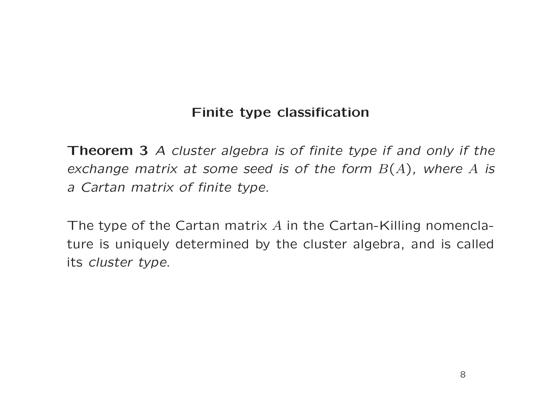## Finite type classification

Theorem 3 A cluster algebra is of finite type if and only if the exchange matrix at some seed is of the form  $B(A)$ , where  $A$  is <sup>a</sup> Cartan matrix of finite type.

The type of the Cartan matrix  $A$  in the Cartan-Killing nomenclature is uniquely determined by the cluster algebra, and is called its cluster type.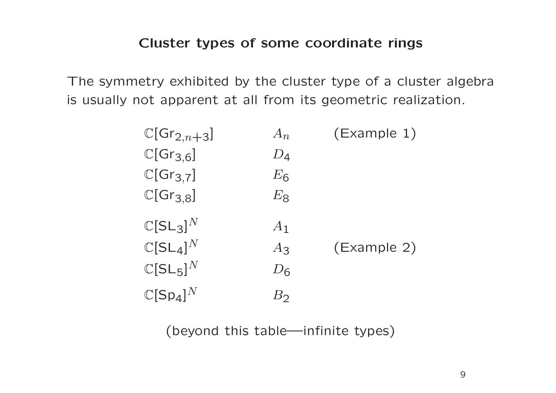The symmetry exhibited by the cluster type of a cluster algebra is usually not apparent at all from its geometric realization.

| $\mathbb{C}[Gr_{2,n+3}]$        | $A_{n}$           | (Example 1) |
|---------------------------------|-------------------|-------------|
| $\mathbb{C}[Gr_{3,6}]$          | $D_{\mathcal{4}}$ |             |
| $\mathbb{C}[Gr_{3,7}]$          | $E_6$             |             |
| $\mathbb{C}[\mathsf{Gr}_{3,8}]$ | $E_{\mathsf{8}}$  |             |
| $\mathbb{C}[\mathsf{SL}_3]^N$   | $A_1$             |             |
| $\mathbb{C}[\mathsf{SL}_4]^N$   | $A_3$             | (Example 2) |
| $\mathbb{C}[SL_5]^N$            | $D_{\mathsf{G}}$  |             |
| $\mathbb{C}[Sp_4]^N$            | $B_2$             |             |

(beyond this table—infinite types)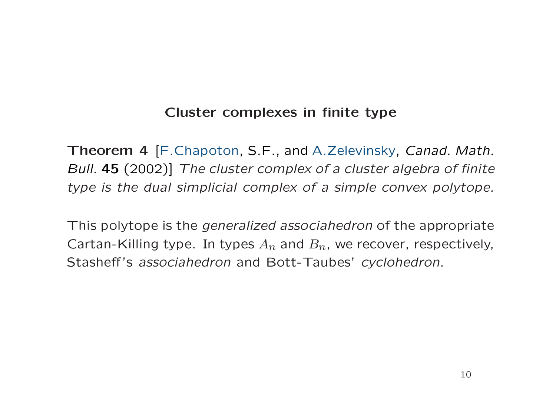### Cluster complexes in finite type

Theorem 4 [F.Chapoton, S.F., and A.Zelevinsky, Canad. Math. Bull. 45 (2002)] The cluster complex of <sup>a</sup> cluster algebra of finite type is the dual simplicial complex of <sup>a</sup> simple convex polytope.

This polytope is the generalized associahedron of the appropriate Cartan-Killing type. In types  $A_n$  and  $B_n$ , we recover, respectively, Stasheff's associahedron and Bott-Taubes' cyclohedron.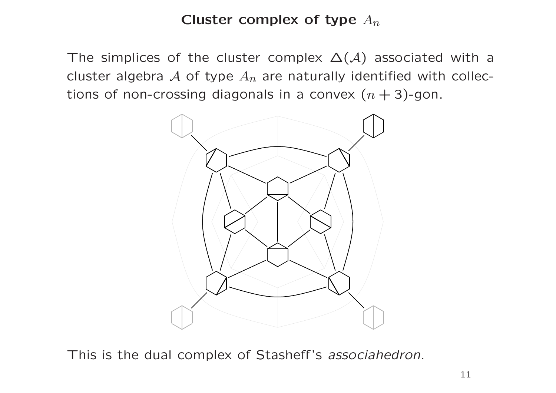Cluster complex of type  $A_n$ 

The simplices of the cluster complex  $\Delta(\mathcal{A})$  associated with a cluster algebra  ${\cal A}$  of type  $A_n$  are naturally identified with collections of non-crossing diagonals in a convex  $(n+3)$ -gon.



This is the dual complex of Stasheff's associahedron.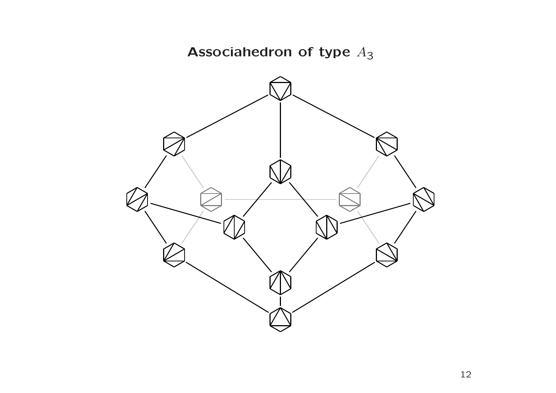Associahedron of type  $A_3$ 

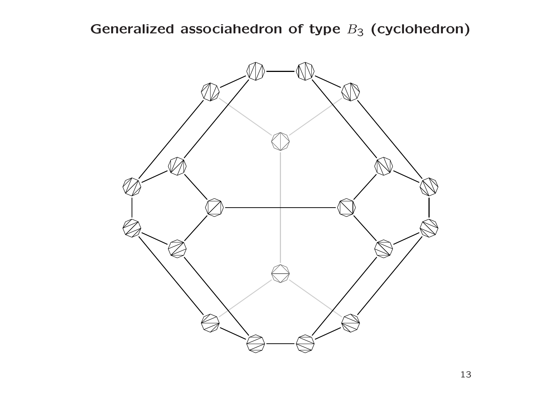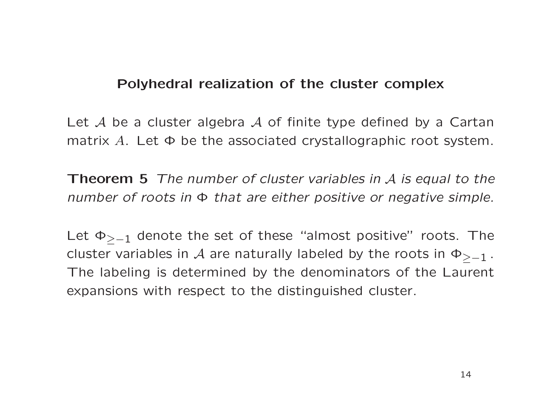#### Polyhedral realization of the cluster complex

Let  ${\cal A}$  be a cluster algebra  ${\cal A}$  of finite type defined by a Cartan matrix  $A$ . Let  $\Phi$  be the associated crystallographic root system.

**Theorem 5** The number of cluster variables in  $A$  is equal to the number of roots in  $\Phi$  that are either positive or negative simple.

Let  $\Phi_{\geq -1}$  denote the set of these "almost positive" roots. The cluster variables in  ${\cal A}$  are naturally labeled by the roots in  $\Phi_{\geq -1}$  . The labeling is determined by the denominators of the Lauren t expansions with respect to the distinguished cluster.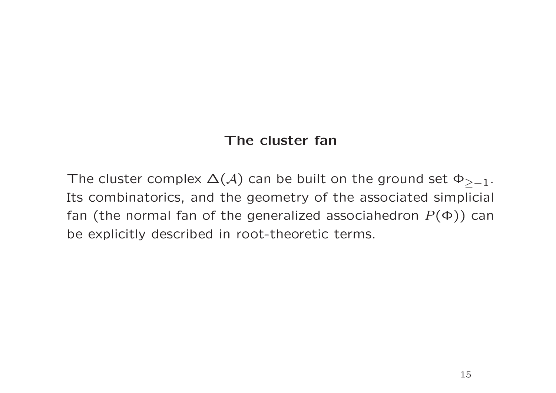## The cluster fan

The cluster complex  $\Delta(\mathcal{A})$  can be built on the ground set  $\Phi_{\geq -1}$ . Its combinatorics, and the geometry of the associated simplicial fan (the normal fan of the generalized associahedron  $P(\Phi)$ ) can be explicitly described in root-theoretic terms.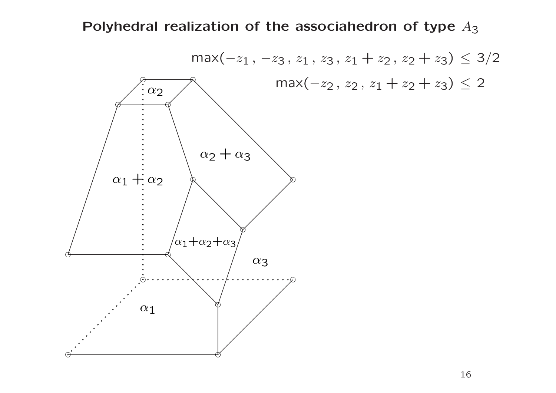Polyhedral realization of the associahedron of type  $A_3$ 

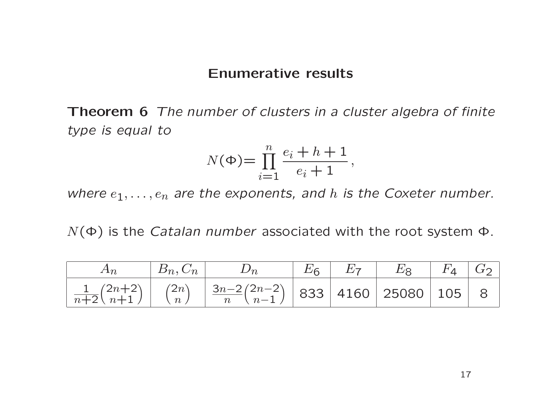#### Enumerative results

Theorem 6 The number of clusters in a cluster algebra of finite type is equal to

$$
N(\Phi) = \prod_{i=1}^{n} \frac{e_i + h + 1}{e_i + 1},
$$

where  $e_1, \ldots, e_n$  are the exponents, and h is the Coxeter number.

 $N(\Phi)$  is the *Catalan number* associated with the root system  $\Phi$ .

| $A_{n}$ | $B_n, C_n \mid$ | $\n  Dn\n$                                                                                                                                                              | $E_6$ | $\perp E_7$ | $E_8$ | $F_4$   $G_2$ |  |
|---------|-----------------|-------------------------------------------------------------------------------------------------------------------------------------------------------------------------|-------|-------------|-------|---------------|--|
|         |                 | $\left  \frac{1}{n+2} {2n+2 \choose n+1} \right  {2n \choose n} \left  \frac{3n-2}{n}{2n-2 \choose n-1} \right $ 833 $\left  4160 \right $ 25080 $\left  105 \right $ 8 |       |             |       |               |  |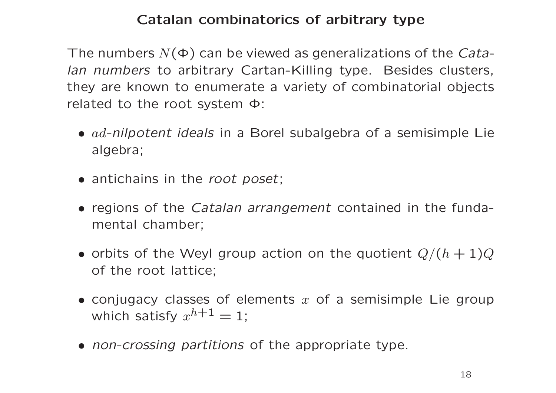## Catalan combinatorics of arbitrary type

The numbers  $N(\Phi)$  can be viewed as generalizations of the Catalan numbers to arbitrary Cartan-Killing type. Besides clusters, they are known to enumerate <sup>a</sup> variety of combinatorial objects related to the root system Φ:

- $ad$ -nilpotent ideals in a Borel subalgebra of a semisimple Lie algebra;
- antichains in the root poset;
- regions of the Catalan arrangement contained in the fundamental chamber;
- $\bullet$  orbits of the Weyl group action on the quotient  $Q/(h+1)Q$ of the root lattice;
- $\bullet$  conjugacy classes of elements  $x$  of a semisimple Lie group which satisfy  $x^{h+1}=1;$
- non-crossing partitions of the appropriate type.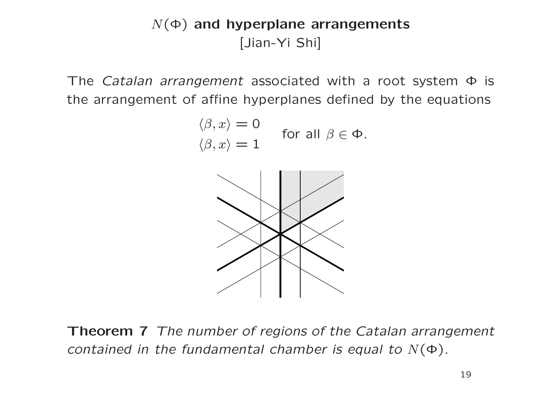# $N(\Phi)$  and hyperplane arrangements [Jian-Yi Shi]

The Catalan arrangement associated with a root system  $\Phi$  is the arrangement of affine hyperplanes defined by the equations

$$
\langle \beta, x \rangle = 0
$$
  
for all  $\beta \in \Phi$ .  

$$
\langle \beta, x \rangle = 1
$$



Theorem 7 The number of regions of the Catalan arrangement contained in the fundamental chamber is equal to  $N(\Phi)$ .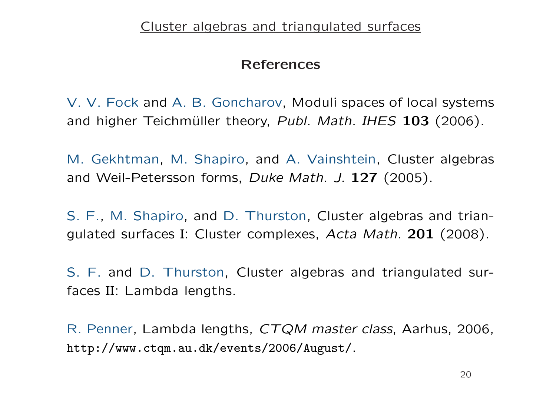## References

V. V. Fock and A. B. Goncharov, Moduli spaces of local systems and higher Teichmüller theory, Publ. Math. IHES 103 (2006).

M. Gekhtman, M. Shapiro, and A. Vainshtein, Cluster algebras and Weil-Petersson forms, Duke Math. J. 127 (2005).

S. F., M. Shapiro, and D. Thurston, Cluster algebras and triangulated surfaces I: Cluster complexes, Acta Math. 201 (2008).

S. F. and D. Thurston, Cluster algebras and triangulated surfaces II: Lambda lengths.

R. Penner, Lambda lengths, CTQM master class, Aarhus, 2006, http://www.ctqm.au.dk/events/2006/August/.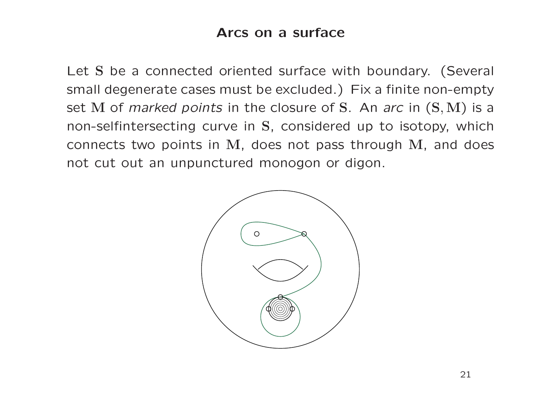## Arcs on a surface

Let S be a connected oriented surface with boundary. (Several small degenerate cases must be excluded.) Fix a finite non-empty set M of *marked points* in the closure of S. An *arc* in  $(S, M)$  is a non-selfintersecting curve in S, considered up to isotopy, which connects two points in M, does not pass through M, and does not cut out an unpunctured monogon or digon.

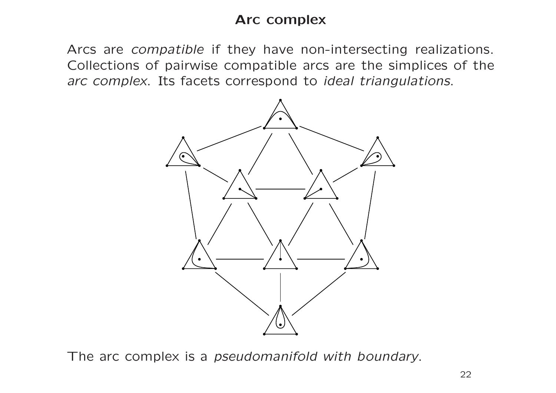## Arc complex

Arcs are *compatible* if they have non-intersecting realizations. Collections of pairwise compatible arcs are the simplices of the arc complex. Its facets correspond to ideal triangulations.



The arc complex is a *pseudomanifold with boundary*.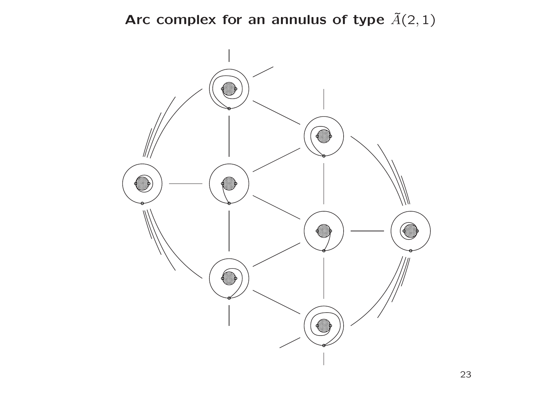Arc complex for an annulus of type  $\tilde{A}(2,1)$ 

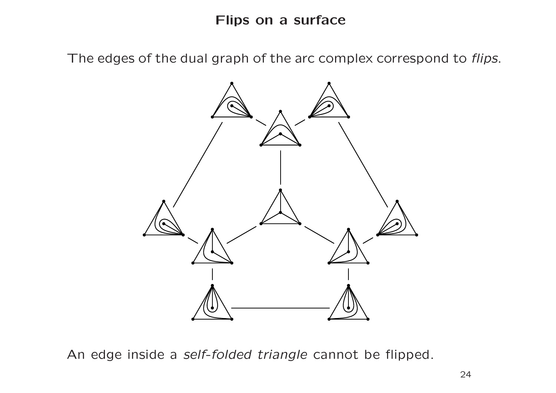The edges of the dual graph of the arc complex correspond to flips.



An edge inside <sup>a</sup> self-folded triangle cannot be flipped.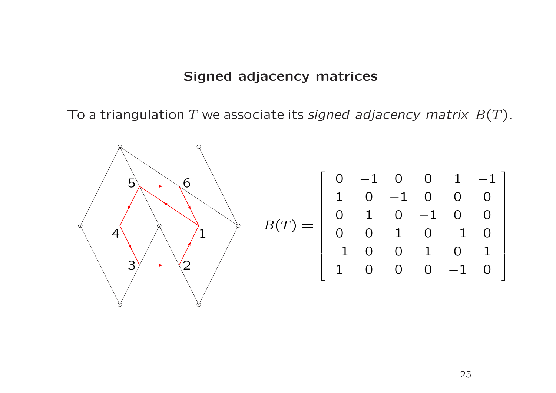#### Signed adjacency matrices

To a triangulation  $T$  we associate its signed adjacency matrix  $\, B(T) . \,$ 

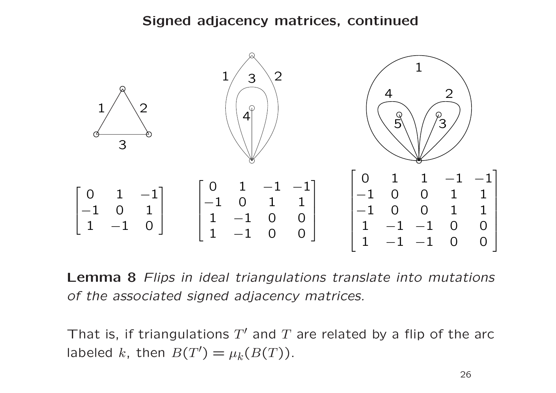#### Signed adjacency matrices, continued



Lemma 8 Flips in ideal triangulations translate into mutations of the associated signed adjacency matrices.

That is, if triangulations  $T^{\prime}$  and  $T$  are related by a flip of the arc labeled k, then  $B(T') = \mu_k(B(T))$ .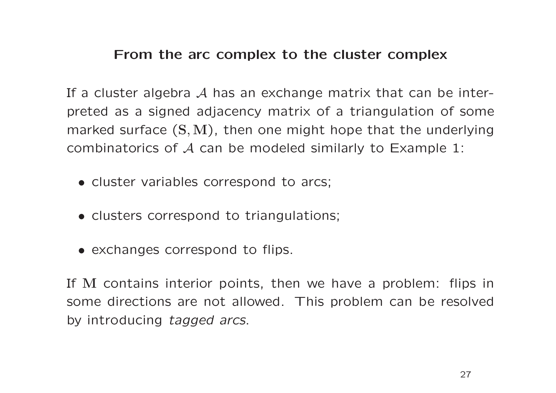#### From the arc complex to the cluster complex

If a cluster algebra  $\mathcal A$  has an exchange matrix that can be interpreted as a signed adjacency matrix of a triangulation of som e marked surface  $(\mathbf{S},\mathbf{M})$ , then one might hope that the underlying combinatorics of  $\mathcal A$  can be modeled similarly to Example 1:

- cluster variables correspond to arcs;
- clusters correspond to triangulations;
- exchanges correspond to flips.

If <sup>M</sup> contains interior points, then we have a problem: flips in some directions are not allowed. This problem can be resolve d by introducing tagged arcs.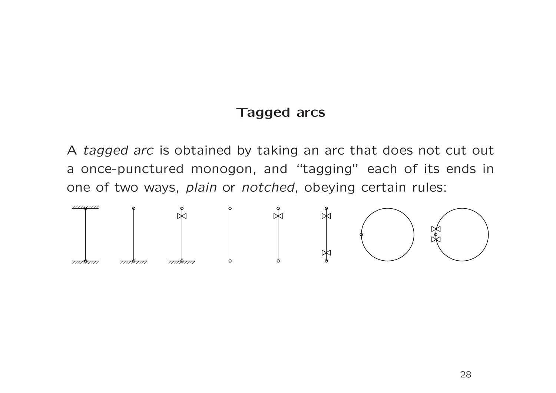#### Tagged arcs

A tagged arc is obtained by taking an arc that does not cut out a once-punctured monogon, and "tagging" each of its ends in one of two ways, plain or notched, obeying certain rules:

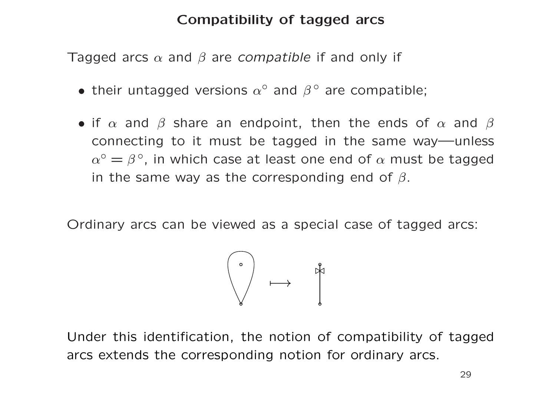## Compatibility of tagged arcs

Tagged arcs  $\alpha$  and  $\beta$  are *compatible* if and only if

- their untagged versions  $\alpha^{\circ}$  and  $\beta^{\circ}$  are compatible;
- $\bullet$  if  $\alpha$  and  $\beta$  share an endpoint, then the ends of  $\alpha$  and  $\beta$ connecting to it must be tagged in the same way—unless  $\alpha^{\circ} = \beta^{\circ}$ , in which case at least one end of  $\alpha$  must be tagged in the same way as the corresponding end of  $\beta.$

Ordinary arcs can be viewed as <sup>a</sup> special case of tagged arcs:



Under this identification, the notion of compatibility of tagged arcs extends the corresponding notion for ordinary arcs.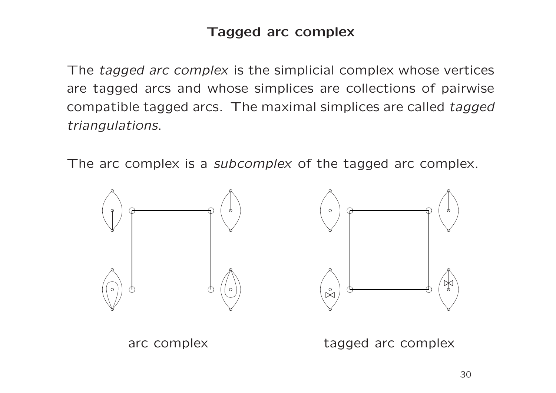## Tagged arc complex

The tagged arc complex is the simplicial complex whose vertices are tagged arcs and whose simplices are collections of pairwise compatible tagged arcs. The maximal simplices are called tagged triangulations.

The arc complex is a *subcomplex* of the tagged arc complex.



arc complex tagged arc complex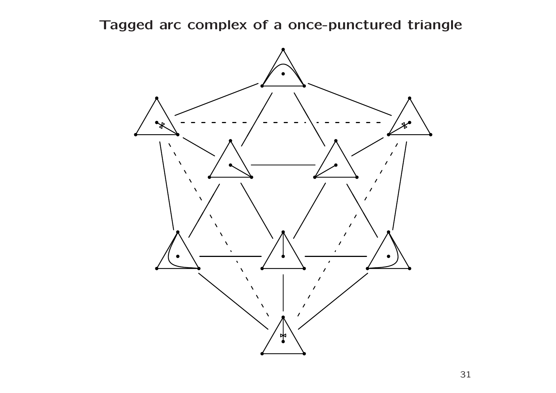Tagged arc complex of <sup>a</sup> once-punctured triangle

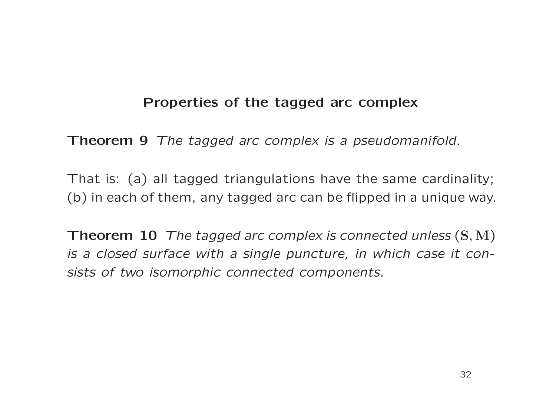## Properties of the tagged arc complex

Theorem 9 The tagged arc complex is <sup>a</sup> pseudomanifold.

That is: (a) all tagged triangulations have the same cardinality; (b) in each of them, any tagged arc can be flipped in <sup>a</sup> unique way.

Theorem  $10$  The tagged arc complex is connected unless  $(S, M)$ is a closed surface with a single puncture, in which case it consists of two isomorphic connected components.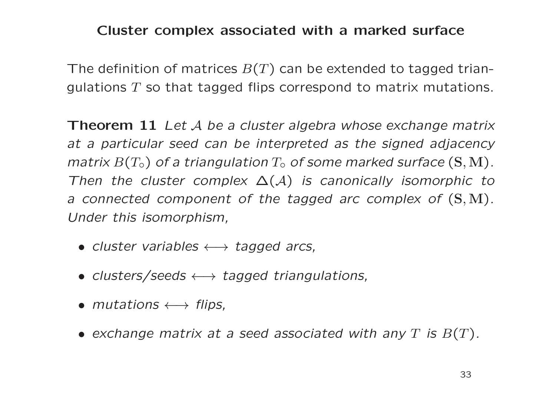#### Cluster complex associated with <sup>a</sup> marked surface

The definition of matrices  $B(T)$  can be extended to tagged triangulations  $T$  so that tagged flips correspond to matrix mutations.

**Theorem 11** Let  $A$  be a cluster algebra whose exchange matrix at a particular seed can be interpreted as the signed adjacency  $\mathit{matrix}\ B(T_\circ)$  of a triangulation  $T_\circ$  of some marked surface  $(\mathbf{S},\mathbf{M})$  . Then the cluster complex  $\Delta(\mathcal{A})$  is canonically isomorphic to a connected component of the tagged arc complex of  $(S, M)$ . Under this isomorphism,

- cluster variables  $\longleftrightarrow$  tagged arcs,
- clusters/seeds  $\longleftrightarrow$  tagged triangulations,
- mutations  $\longleftrightarrow$  flips,
- $\bullet$  exchange matrix at a seed associated with any  $T$  is  $B(T)$ .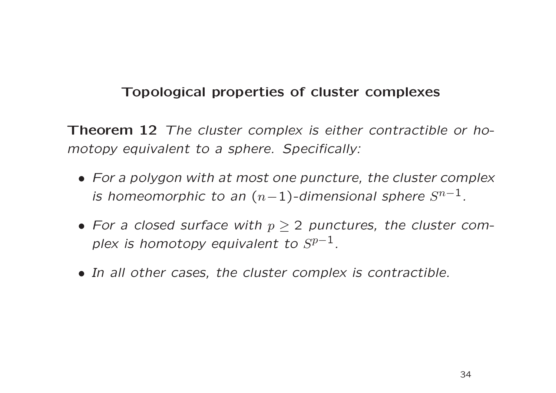## Topological properties of cluster complexes

Theorem 12 The cluster complex is either contractible or homotopy equivalent to <sup>a</sup> sphere. Specifically:

- For a polygon with at most one puncture, the cluster complex is homeomorphic to an  $(n-1)$ -dimensional sphere  $S^{n-1}$ .
- For a closed surface with  $p\geq 2$  punctures, the cluster complex is homotopy equivalent to  $S^{p-1}.$
- In all other cases, the cluster complex is contractible.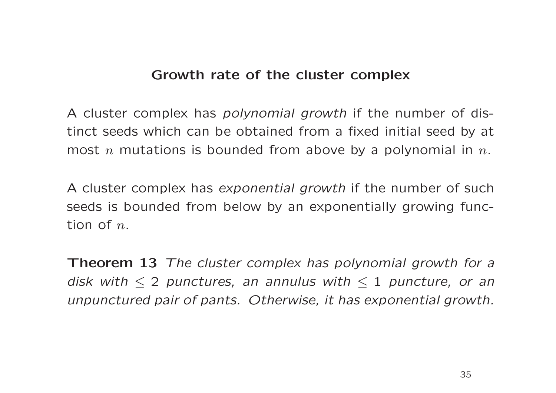### Growth rate of the cluster complex

A cluster complex has *polynomial growth* if the number of distinct seeds which can be obtained from a fixed initial seed by a t most  $n$  mutations is bounded from above by a polynomial in  $n.$ 

A cluster complex has exponential growth if the number of such seeds is bounded from below by an exponentially growing func tion of  $n_{\cdot}$ 

**Theorem 13** The cluster complex has polynomial growth for a disk with  $\leq$  2 punctures, an annulus with  $\leq$  1 puncture, or an unpunctured pair of pants. Otherwise, it has exponential growth.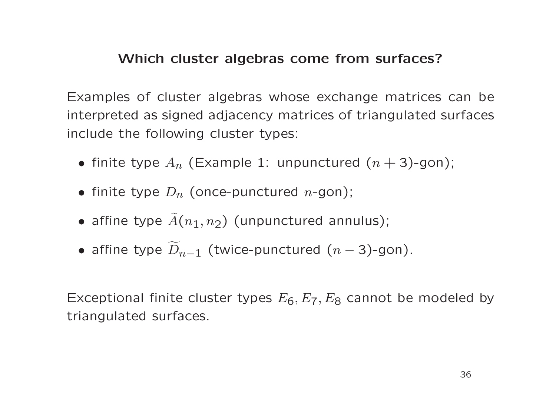## Which cluster algebras come from surfaces?

Examples of cluster algebras whose exchange matrices can be interpreted as signed adjacency matrices of triangulated surfaces include the following cluster types:

- finite type  $A_n$  (Example 1: unpunctured  $(n+3)$ -gon);
- finite type  $D_n$  (once-punctured n-gon);
- affine type  $\widetilde{A}(n_1,n_2)$  (unpunctured annulus);
- affine type  $\widetilde{D}_{n-1}$  (twice-punctured  $(n-3)$ -gon).

Exceptional finite cluster types  $E_6,E_7,E_8$  cannot be modeled by triangulated surfaces.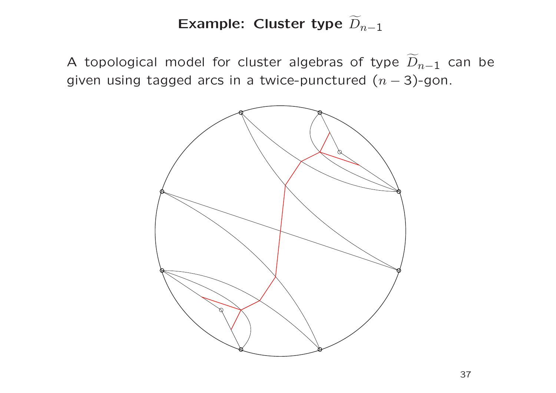#### Example: Cluster type  $\widetilde{D}$  $n\!-\!1$

A topological model for cluster algebras of type  $\widetilde{D}$  $_{n-1}$  can be given using tagged arcs in a twice-punctured  $(n - 3)$ -gon.

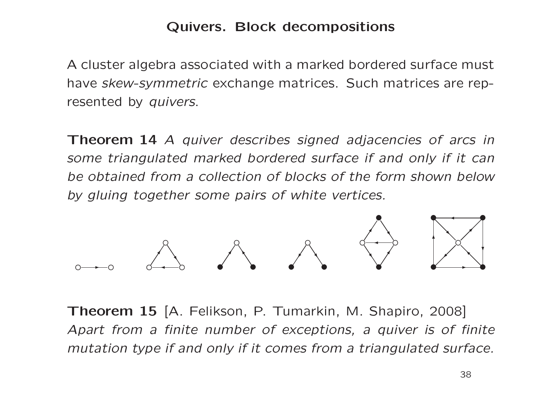## Quivers. Block decompositions

A cluster algebra associated with <sup>a</sup> marked bordered surface must have skew-symmetric exchange matrices. Such matrices are represented by *quivers*.

Theorem 14 A quiver describes signed adjacencies of arcs in some triangulated marked bordered surface if and only if it can be obtained from a collection of blocks of the form shown below by gluing together some pairs of white vertices.



Theorem 15 [A. Felikson, P. Tumarkin, M. Shapiro, 2008] Apart from a finite number of exceptions, a quiver is of finite mutation type if and only if it comes from <sup>a</sup> triangulated surface.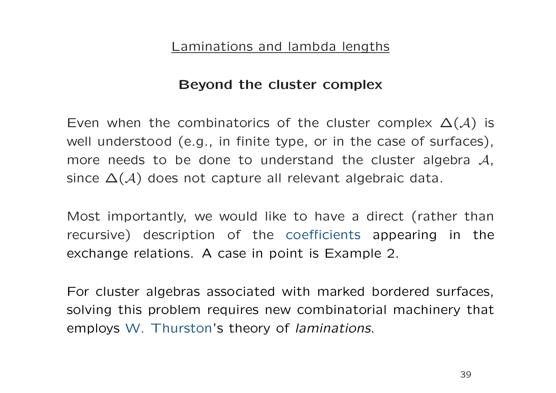#### Laminations and lambda lengths

#### Beyond the cluster complex

Even when the combinatorics of the cluster complex  $\Delta(\mathcal{A})$  is well understood (e.g., in finite type, or in the case of surfaces), more needs to be done to understand the cluster algebra  $\mathcal{A},$ since  $\Delta(\mathcal{A})$  does not capture all relevant algebraic data.

Most importantly, we would like to have a direct (rather than recursive) description of the coefficients appearing in the exchange relations. A case in point is Example 2.

For cluster algebras associated with marked bordered surfaces, solving this problem requires new combinatorial machinery that employs W. Thurston's theory of laminations.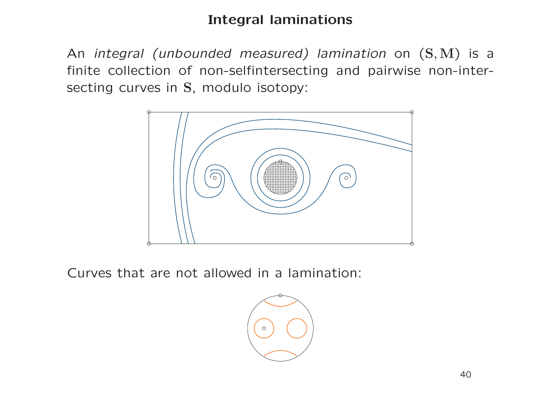# Integral laminations

An integral (unbounded measured) lamination on  $(S, M)$  is a finite collection of non-selfintersecting and pairwise non-intersecting curves in S, modulo isotopy:



Curves that are not allowed in a lamination:

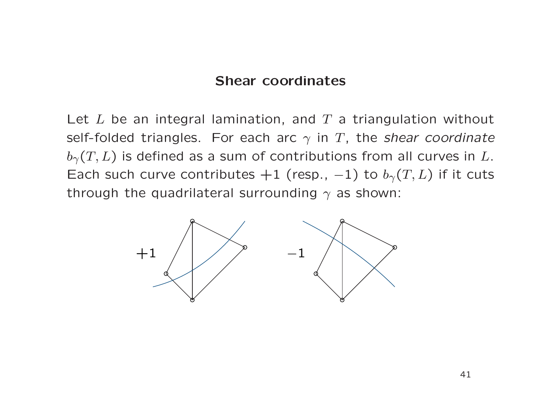#### Shear coordinates

Let  $L$  be an integral lamination, and  $T$  a triangulation without self-folded triangles. For each arc  $\gamma$  in T, the shear coordinate  $b_{\gamma}(T, L)$  is defined as a sum of contributions from all curves in L. Each such curve contributes  $+1$  (resp.,  $-1$ ) to  $b<sub>\gamma</sub>(T, L)$  if it cuts through the quadrilateral surrounding  $\gamma$  as shown:

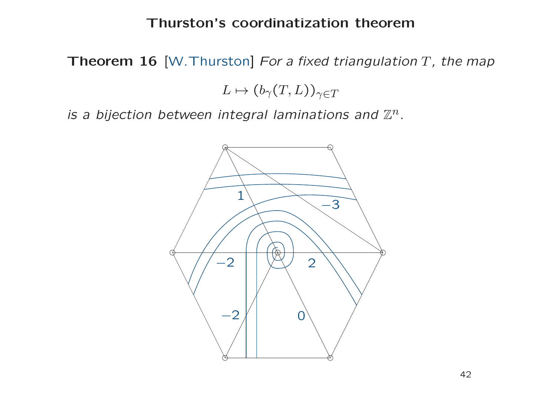#### Thurston's coordinatization theorem

**Theorem 16** [W.Thurston] For a fixed triangulation T, the map

 $L \mapsto (b_\gamma(T, L))_{\gamma \in T}$ 

is a bijection between integral laminations and  $\mathbb{Z}^n$ .

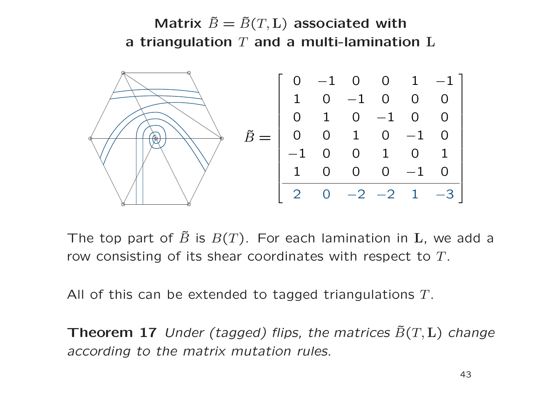Matrix  $\tilde{B} = \tilde{B}(T,\textbf{L})$  associated with a triangulation  $T$  and a multi-lamination  $L$ 



The top part of  $\tilde{B}$  is  $B(T)$ . For each lamination in  ${\bf L}$ , we add a row consisting of its shear coordinates with respect to T.

All of this can be extended to tagged triangulations T.

**Theorem 17** Under (tagged) flips, the matrices  $\tilde{B}(T, L)$  change according to the matrix mutation rules.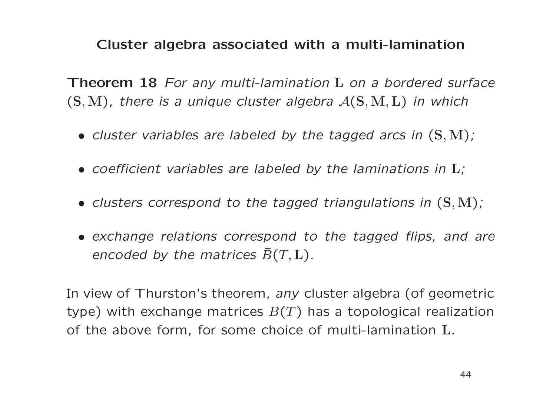## Cluster algebra associated with <sup>a</sup> multi-lamination

Theorem 18 For any multi-lamination L on a bordered surface  $(S, M)$ , there is a unique cluster algebra  $\mathcal{A}(S, M, L)$  in which

- cluster variables are labeled by the tagged arcs in ( <sup>S</sup>,<sup>M</sup> ) ;
- $\bullet$  coefficient variables are labeled by the laminations in  $\boldsymbol{\mathrm{L}}$ ;
- clusters correspond to the tagged triangulations in ( <sup>S</sup>,<sup>M</sup> ) ;
- exchange relations correspond to the tagged flips, and are encoded by the matrices  $\tilde{B}(T,\mathbf{L})$  .

In view of Thurston's theorem, any cluster algebra (of geometric type) with exchange matrices  $B(T)$  has a topological realization of the above form, for some choice of multi-lamination L.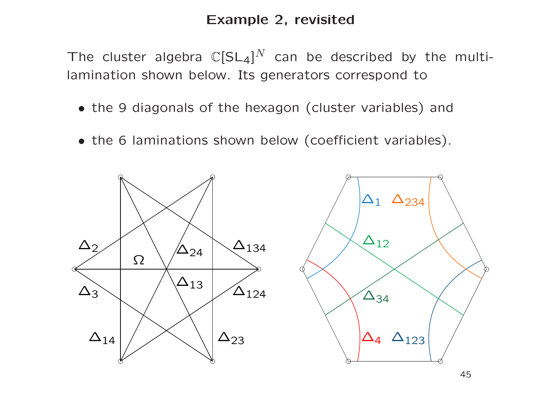## Example 2, revisited

The cluster algebra  $\mathbb{C}[SL_4]^N$  can be described by the multilamination shown below. Its generators correspond to

- the 9 diagonals of the hexagon (cluster variables) and
- the 6 laminations shown below (coefficient variables).

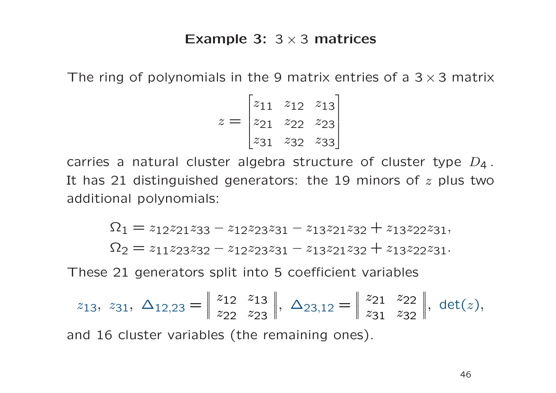#### Example 3:  $3 \times 3$  matrices

The ring of polynomials in the 9 matrix entries of a  $3 \times 3$  matrix

$$
z = \begin{bmatrix} z_{11} & z_{12} & z_{13} \\ z_{21} & z_{22} & z_{23} \\ z_{31} & z_{32} & z_{33} \end{bmatrix}
$$

carries a natural cluster algebra structure of cluster type  $D_4$ . It has 21 distinguished generators: the 19 minors of  $z$  plus two additional polynomials:

$$
\Omega_1=z_{12}z_{21}z_{33}-z_{12}z_{23}z_{31}-z_{13}z_{21}z_{32}+z_{13}z_{22}z_{31},
$$

 $\Omega_2 = z_{11}z_{23}z_{32} - z_{12}z_{23}z_{31} - z_{13}z_{21}z_{32} + z_{13}z_{22}z_{31}.$ 

These 21 generators split into 5 coefficient variables

$$
z_{13}, z_{31}, \Delta_{12,23} = \begin{vmatrix} z_{12} & z_{13} \\ z_{22} & z_{23} \end{vmatrix}, \Delta_{23,12} = \begin{vmatrix} z_{21} & z_{22} \\ z_{31} & z_{32} \end{vmatrix}, \det(z),
$$

and 16 cluster variables (the remaining ones).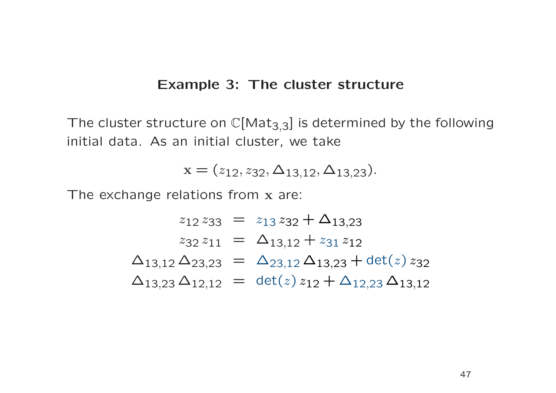#### Example 3: The cluster structure

The cluster structure on  $\mathbb{C}[\mathsf{Mat}_{3,3}]$  is determined by the following initial data. As an initial cluster, we take

$$
\mathbf{x} = (z_{12}, z_{32}, \Delta_{13,12}, \Delta_{13,23}).
$$

The exchange relations from x are:

$$
z_{12} z_{33} = z_{13} z_{32} + \Delta_{13,23}
$$
  
\n
$$
z_{32} z_{11} = \Delta_{13,12} + z_{31} z_{12}
$$
  
\n
$$
\Delta_{13,12} \Delta_{23,23} = \Delta_{23,12} \Delta_{13,23} + \det(z) z_{32}
$$
  
\n
$$
\Delta_{13,23} \Delta_{12,12} = \det(z) z_{12} + \Delta_{12,23} \Delta_{13,12}
$$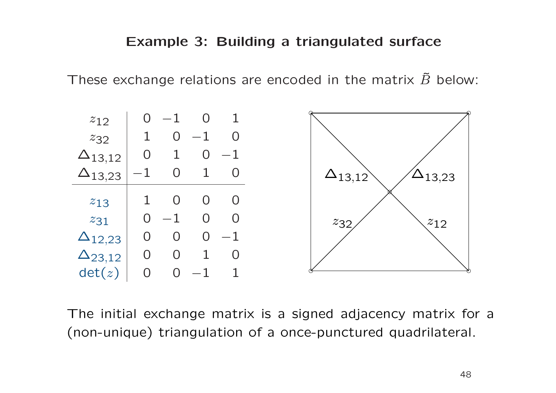These exchange relations are encoded in the matrix  $\tilde{B}$  below:



The initial exchange matrix is <sup>a</sup> signed adjacency matrix for a (non-unique) triangulation of <sup>a</sup> once-punctured quadrilateral.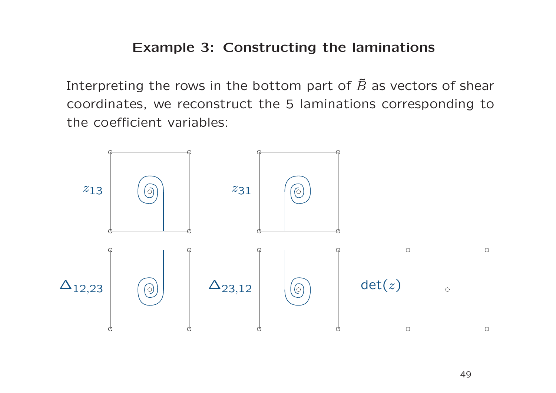## Example 3: Constructing the laminations

Interpreting the rows in the bottom part of  $\tilde{B}$  as vectors of shear coordinates, we reconstruct the 5 laminations corresponding to the coefficient variables:

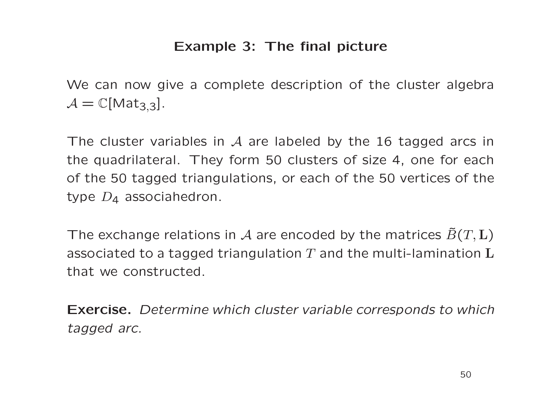## Example 3: The final picture

We can now give a complete description of the cluster algebra  $\mathcal{A} = \mathbb{C}[\mathsf{Mat}_{3,3}].$ 

The cluster variables in  $\mathcal A$  are labeled by the 16 tagged arcs in the quadrilateral. They form 50 clusters of size 4, one for each of the 50 tagged triangulations, or each of the 50 vertices of the type  $\overline{D}_4$  associahedron.

The exchange relations in  ${\mathcal A}$  are encoded by the matrices  $\tilde{B}(T,{\mathbf L})$ associated to a tagged triangulation  $T$  and the multi-lamination  ${\bf L}$ that we constructed.

Exercise. Determine which cluster variable corresponds to which tagged arc.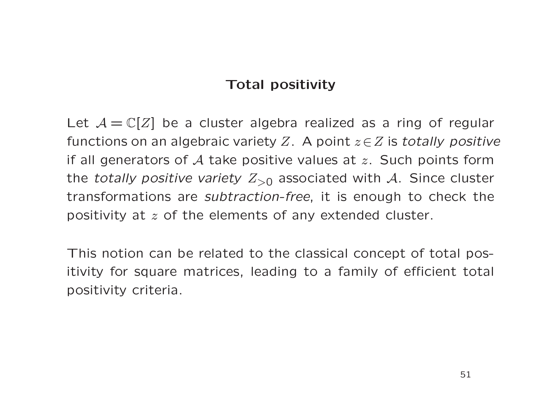# Total positivity

Let  $A = \mathbb{C}[Z]$  be a cluster algebra realized as a ring of regular functions on an algebraic variety Z. A point  $z \in Z$  is totally positive if all generators of  $A$  take positive values at  $z$ . Such points form the totally positive variety  $Z_{>0}$  associated with A. Since cluster transformations are subtraction-free, it is enough to check the positivity at <sup>z</sup> of the elements of any extended cluster.

This notion can be related to the classical concept of total positivity for square matrices, leading to <sup>a</sup> family of efficient total positivity criteria.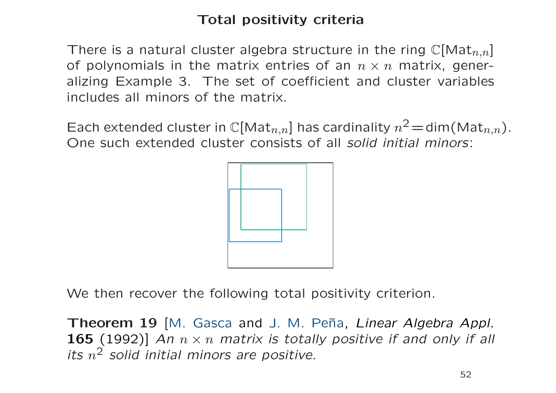# Total positivity criteria

There is a natural cluster algebra structure in the ring  $\mathbb{C}[\mathsf{Mat}_{n,n}]$ of polynomials in the matrix entries of an  $n \times n$  matrix, generalizing Example 3. The set of coefficient and cluster variables includes all minors of the matrix.

Each extended cluster in  $\mathbb{C}[\text{Mat}_{n,n}]$  has cardinality  $n^2 = \text{dim}(\text{Mat}_{n,n})$ . One such extended cluster consists of all solid initial minors:



We then recover the following total positivity criterion.

Theorem 19 [M. Gasca and J. M. Peña, Linear Algebra Appl. **165** (1992)] An  $n \times n$  matrix is totally positive if and only if all its  $n^2$  solid initial minors are positive.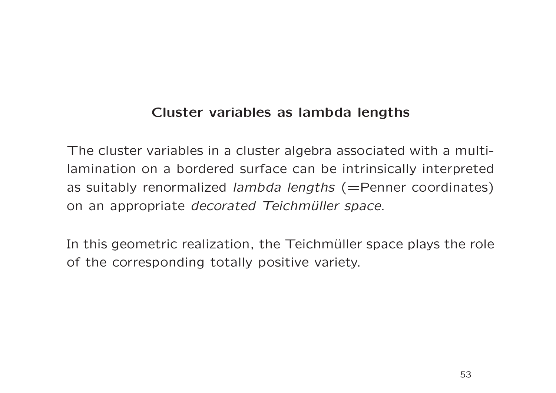## Cluster variables as lambda lengths

The cluster variables in a cluster algebra associated with a multilamination on a bordered surface can be intrinsically interpreted as suitably renormalized lambda lengths (=Penner coordinates) on an appropriate decorated Teichmüller space.

In this geometric realization, the Teichmüller space plays the role of the corresponding totally positive variety.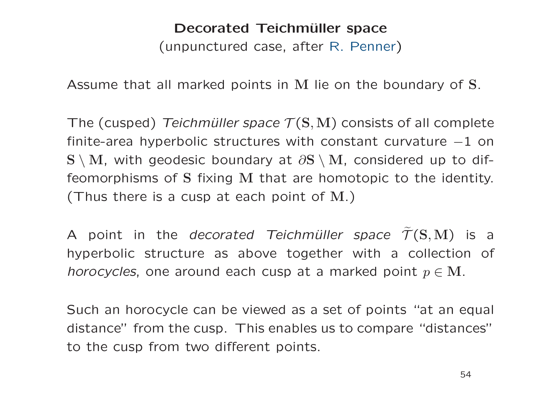# Decorated Teichmüller space (unpunctured case, after R. Penner )

Assume that all marked points in M lie on the boundary of S.

The (cusped) Teichmüller space  $\mathcal{T}(\mathbf{S},\mathbf{M})$  consists of all complete finite-area hyperbolic structures with constant curvature  $-1$  on  $\mathbf{S} \setminus \mathbf{M}$ , with geodesic boundary at  $\partial \mathbf{S} \setminus \mathbf{M}$ , considered up to diffeomorphisms of S fixing M that are homotopic to the identity. (Thus there is a cusp at each point of  $\mathrm{M}_\cdot)$ 

A point in the *decorated Teichmüller space*  $\widetilde{\mathcal{T}}(\mathbf{S},\mathbf{M})$  is a hyperbolic structure as above together with <sup>a</sup> collection of *horocycles*, one around each cusp at a marked point  $p \in \mathbf{M}$ .

Such an horocycle can be viewed as <sup>a</sup> set of points "at an equal distance" from the cusp. This enables us to compare "distances" to the cusp from two different points.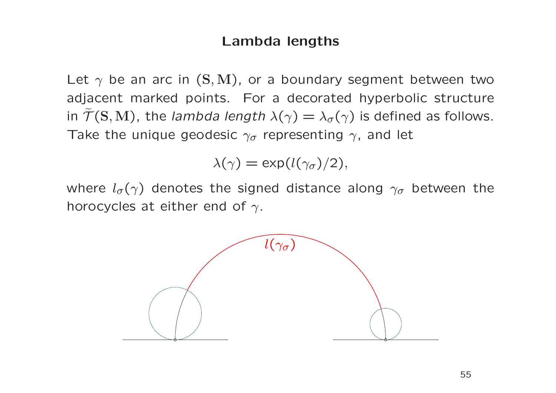#### Lambda lengths

Let  $\gamma$  be an arc in (S, M), or a boundary segment between two adjacent marked points. For a decorated hyperbolic structure in  $\widetilde{\mathcal{T}}(\mathbf{S},\mathbf{M})$ , the *lambda length*  $\lambda(\gamma)=\lambda_{\sigma}(\gamma)$  is defined as follows. Take the unique geodesic  $\gamma_{\sigma}$  representing  $\gamma$ , and let

$$
\lambda(\gamma) = \exp(l(\gamma_{\sigma})/2),
$$

where  $l_{\sigma}(\gamma)$  denotes the signed distance along  $\gamma_{\sigma}$  between the horocycles at either end of  $\gamma$ .

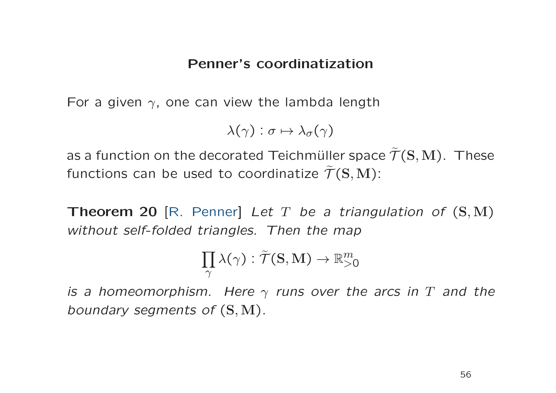#### Penner's coordinatization

For a given  $\gamma$ , one can view the lambda length

$$
\lambda(\gamma):\sigma\mapsto \lambda_\sigma(\gamma)
$$

as a function on the decorated Teichmüller space  $\widetilde{\mathcal{T}}(\mathbf{S},\mathbf{M}).\,$  These functions can be used to coordinatize  $\widetilde{\mathcal{T}}(\mathbf{S},\mathbf{M})$ :

Theorem 20 [R. Penner] Let T be a triangulation of  $(S, M)$ without self-folded triangles. Then the map

$$
\prod_{\gamma} \lambda(\gamma) : \widetilde{\mathcal{T}}(\mathbf{S},\mathbf{M}) \to \mathbb{R}_{>0}^m
$$

is a homeomorphism. Here  $\gamma$  runs over the arcs in  $T$  and the boundary segments of  $(S, M)$ .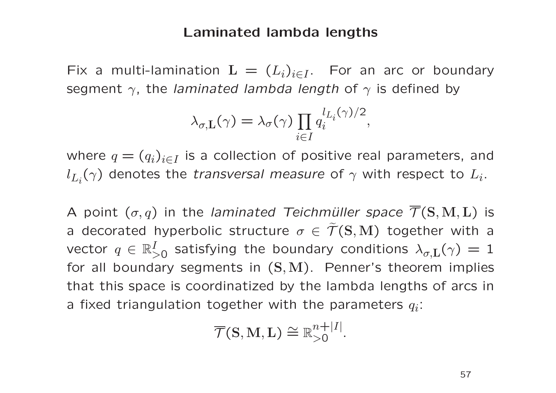#### Laminated lambda lengths

Fix a multi-lamination  $\mathrm{L}\,=\, (L_i)_{i\in I}.~\,$  For an arc or boundary segment  $\gamma$ , the *laminated lambda length* of  $\gamma$  is defined by

$$
\lambda_{\sigma,L}(\gamma) = \lambda_{\sigma}(\gamma) \prod_{i \in I} q_i^{l_{L_i}(\gamma)/2},
$$

where  $q=(q_i)_{i\in I}$  is a collection of positive real parameters, and  $l_{L_i}(\gamma)$  denotes the *transversal measure* of  $\gamma$  with respect to  $L_i.$ 

A point  $(\sigma,q)$  in the *laminated Teichmüller space*  $\mathcal{T}(\mathbf{S},\mathbf{M},\mathbf{L})$ is a decorated hyperbolic structure  $\sigma\in\widetilde{\mathcal{T}}(\mathbf{S},\mathbf{M})$  together with a vector  $q\,\in\,\mathbb{R}^I_\sim$  $\lambda_{\sigma,\mathrm{L}}^I(\gamma)=1$  satisfying the boundary conditions  $\lambda_{\sigma,\mathrm{L}}(\gamma)=1$ for all boundary segments in  $(\mathbf{S},\mathbf{M})$ . Penner's theorem implies that this space is coordinatized by the lambda lengths of arcs in a fixed triangulation together with the parameters  $q_i$ :

$$
\overline{\mathcal{T}}(\mathbf{S}, \mathbf{M}, \mathbf{L}) \cong \mathbb{R}^{n+|I|}_{>0}.
$$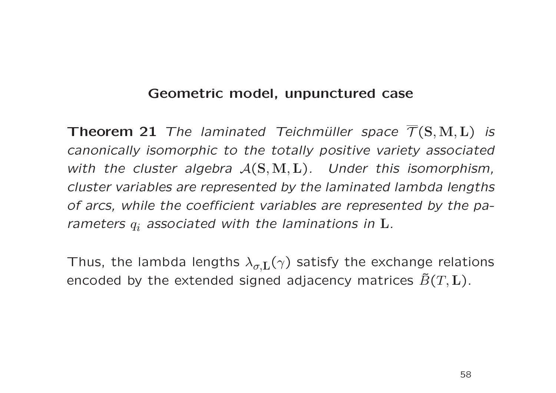### Geometric model, unpunctured case

**Theorem 21** The laminated Teichmüller space  $\mathcal{T}(\mathbf{S}, \mathbf{M}, \mathbf{L})$  is canonically isomorphic to the totally positive variety associated with the cluster algebra  $\mathcal{A}(\mathbf{S}, \mathbf{M}, \mathbf{L})$ . Under this isomorphism, cluster variables are represented by the laminated lambda lengths of arcs, while the coefficient variables are represented by the parameters  $q_i$  associated with the laminations in  ${\bf L}.$ 

Thus, the lambda lengths  $\lambda_{\sigma,\textrm{L}}(\gamma)$  satisfy the exchange relations encoded by the extended signed adjacency matrices  $\tilde{B}(T,\mathbf{L})$ .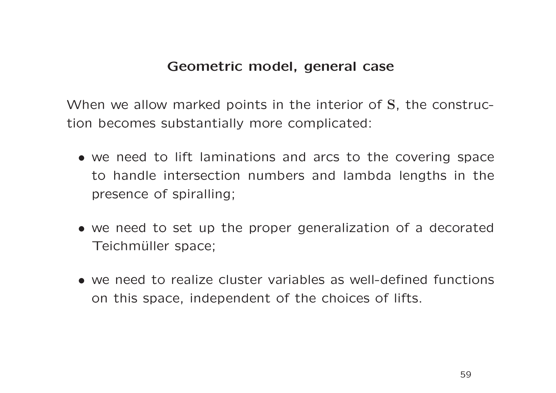#### Geometric model, general case

When we allow marked points in the interior of S, the construction becomes substantially more complicated:

- we need to lift laminations and arcs to the covering space to handle intersection numbers and lambda lengths in the presence of spiralling;
- we need to set up the proper generalization of <sup>a</sup> decorated Teichmüller space;
- we need to realize cluster variables as well-defined functions on this space, independent of the choices of lifts.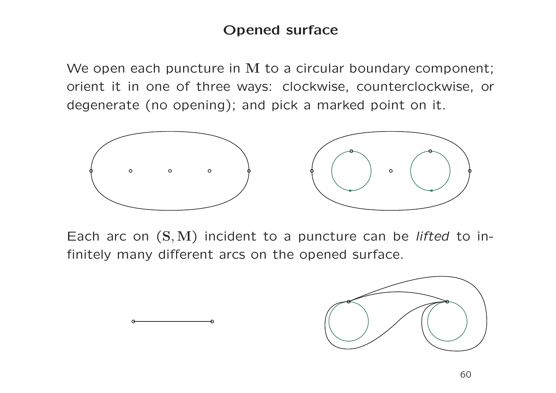## Opened surface

We open each puncture in M to a circular boundary component; orient it in one of three ways: clockwise, counterclockwise, or degenerate (no opening); and pick <sup>a</sup> marked point on it.



Each arc on  $(S, M)$  incident to a puncture can be *lifted* to infinitely many different arcs on the opened surface.

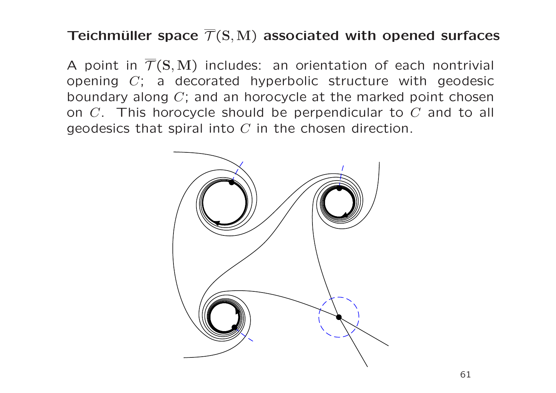# Teichmüller space  $\overline{T}(S,M)$  associated with opened surfaces

A point in  $\overline{\mathcal{T}}(S,M)$  includes: an orientation of each nontrivial opening  $C$ ; a decorated hyperbolic structure with geodesic boundary along  $C$ ; and an horocycle at the marked point chosen on  $C$ . This horocycle should be perpendicular to  $C$  and to all geodesics that spiral into  $C$  in the chosen direction.

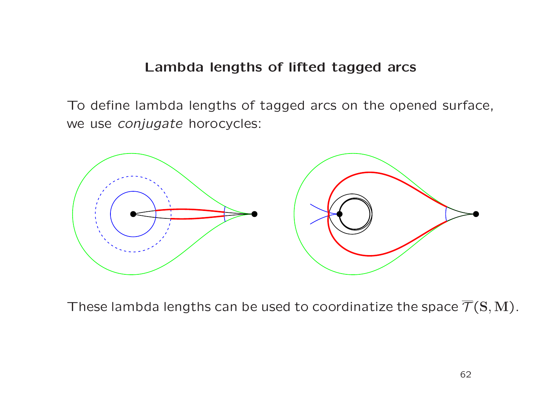#### Lambda lengths of lifted tagged arcs

To define lambda lengths of tagged arcs on the opened surface, we use conjugate horocycles:



These lambda lengths can be used to coordinatize the space  $\mathcal{T}(\mathbf{S},\mathbf{M})$ .